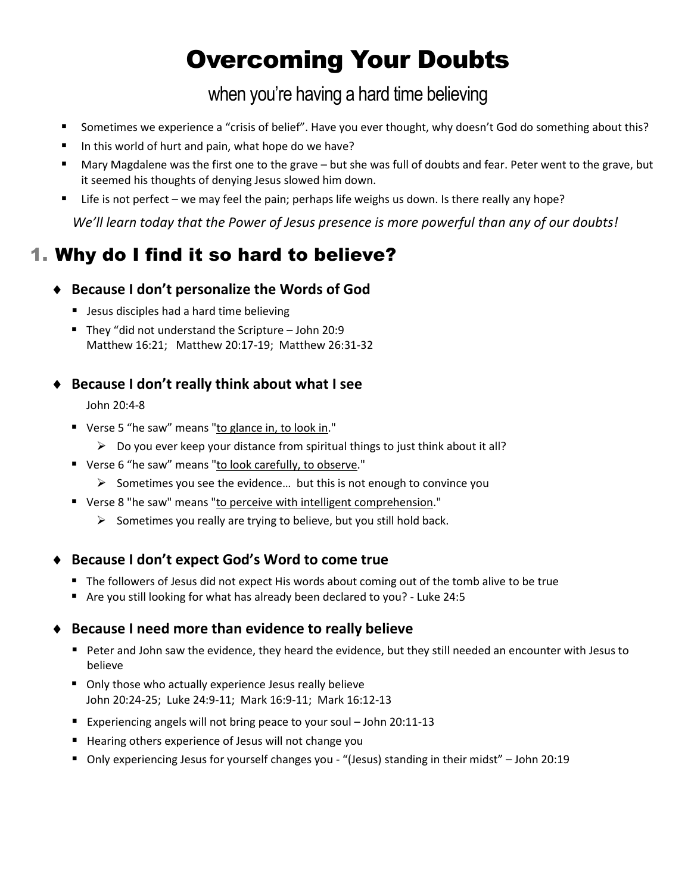# Overcoming Your Doubts

when you're having a hard time believing

- Sometimes we experience a "crisis of belief". Have you ever thought, why doesn't God do something about this?
- In this world of hurt and pain, what hope do we have?
- Mary Magdalene was the first one to the grave but she was full of doubts and fear. Peter went to the grave, but it seemed his thoughts of denying Jesus slowed him down.
- Life is not perfect we may feel the pain; perhaps life weighs us down. Is there really any hope?

*We'll learn today that the Power of Jesus presence is more powerful than any of our doubts!*

## 1. Why do I find it so hard to believe?

### **Because I don't personalize the Words of God**

- **Jesus disciples had a hard time believing**
- They "did not understand the Scripture  $-$  John 20:9 Matthew 16:21; Matthew 20:17-19; Matthew 26:31-32

#### **Because I don't really think about what I see**

John 20:4-8

- Verse 5 "he saw" means "to glance in, to look in."
	- $\triangleright$  Do you ever keep your distance from spiritual things to just think about it all?
- Verse 6 "he saw" means "to look carefully, to observe."
	- $\triangleright$  Sometimes you see the evidence... but this is not enough to convince you
- Verse 8 "he saw" means "to perceive with intelligent comprehension."
	- $\triangleright$  Sometimes you really are trying to believe, but you still hold back.

#### **Because I don't expect God's Word to come true**

- The followers of Jesus did not expect His words about coming out of the tomb alive to be true
- Are you still looking for what has already been declared to you? Luke 24:5

#### **Because I need more than evidence to really believe**

- Peter and John saw the evidence, they heard the evidence, but they still needed an encounter with Jesus to believe
- Only those who actually experience Jesus really believe John 20:24-25; Luke 24:9-11; Mark 16:9-11; Mark 16:12-13
- Experiencing angels will not bring peace to your soul John 20:11-13
- Hearing others experience of Jesus will not change you
- Only experiencing Jesus for yourself changes you "(Jesus) standing in their midst" John 20:19